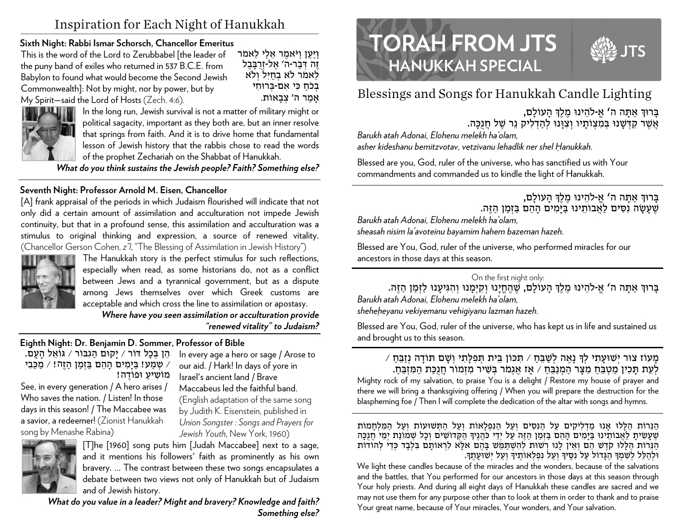# Inspiration for Each Night of Hanukkah

## Sixth Night: Rabbi Ismar Schorsch, Chancellor Emeritus

This is the word of the Lord to Zerubbabel [the leader of the puny band of exiles who returned in 537 B.C.E. from Babylon to found what would become the Second Jewish Commonwealth]: Not by might, nor by power, but by My Spirit-said the Lord of Hosts (Zech. 4:6).

ויען ויאמר אלי לאמר זֶה דְּבַר-ה' אֱל-זְרָבָּבֶל לאמר לא בחיל ולא בלח כי אם-ברוחי אמר ה' צִבַאוֹת.



**HOULD IN THE UP IN THE UP IN THE UP IN THE UP IN THE UP IN THE UP IN THE UP IN THE UP IN THE UP IN THE UP IN T** political sagacity, important as they both are, but an inner resolve that springs from faith. And it is to drive home that fundamental lesson of Jewish history that the rabbis chose to read the words of the prophet Zechariah on the Shabbat of Hanukkah.

What do you think sustains the Jewish people? Faith? Something else?

# Seventh Night: Professor Arnold M. Eisen, Chancellor

[A] frank appraisal of the periods in which Judaism flourished will indicate that not only did a certain amount of assimilation and acculturation not impede Jewish continuity, but that in a profound sense, this assimilation and acculturation was a stimulus to original thinking and expression, a source of renewed vitality. (Chancellor Gerson Cohen, z'l, "The Blessing of Assimilation in Jewish History")



The Hanukkah story is the perfect stimulus for such reflections, especially when read, as some historians do, not as a conflict between Jews and a tyrannical government, but as a dispute among Jews themselves over which Greek customs are acceptable and which cross the line to assimilation or apostasy.

Where have you seen assimilation or acculturation provide "renewed vitality" to Judaism?

# Eighth Night: Dr. Benjamin D. Sommer, Professor of Bible

הֵן בְּכָל דּוֹר / יַקוּם הַגְבּוֹר / גּוֹאֵל הָעָם. ∕ שִמֲע! בַּיַמִים הַהֶם בַּזְמַן הַזֶה! ∕ מַכַּבִי מוֹשיע וּפוֹדה!

See, in every generation / A hero arises / Who saves the nation. / Listen! In those days in this season! / The Maccabee was a savior, a redeemer! (Zionist Hanukkah song by Menashe Rabina)

In every age a hero or sage / Arose to our aid. / Hark! In days of yore in Israel's ancient land / Brave Maccabeus led the faithful band. (English adaptation of the same song by Judith K. Eisenstein, published in Union Songster: Songs and Prayers for Jewish Youth, New York, 1960).



[T]he [1960] song puts him [Judah Maccabee] next to a sage, and it mentions his followers' faith as prominently as his own bravery. ... The contrast between these two songs encapsulates a debate between two views not only of Hanukkah but of Judaism and of Jewish history.

What do you value in a leader? Might and bravery? Knowledge and faith? Something else?





Blessings and Songs for Hanukkah Candle Lighting

ברוך אתה ה' א-להינו מלך העולם. אֲשֶׁר קִדְּשָׁנוּ בְּמְצְוֹתַיו וְצְוַנוּ לְהַדְלִיק נֵר שֶׁל חֲנְכָּה.

Barukh atah Adonai. Elohenu melekh ha'olam. asher kideshanu bemitzvotav, vetzivanu lehadlik ner shel Hanukkah.

Blessed are you, God, ruler of the universe, who has sanctified us with Your commandments and commanded us to kindle the light of Hanukkah.

# ברוך אתה ה' א-להינו מלך העולם, שֶׁעֲשָׂה נִסְיִם לַאֲבוֹתֵינוּ בַּיַּמְים הָהֶם בַּזְמַן הַזֶּה.

Barukh atah Adonai. Elohenu melekh ha'olam.

sheasah nisim la'avoteinu bayamim hahem bazeman hazeh.

Blessed are You, God, ruler of the universe, who performed miracles for our ancestors in those days at this season.

#### On the first night only:

ברור אתה ה' אַ-להֵינוּ מֵלֵךְ הָעוֹלַם, שֵׁהֵחֵיַנוּ וְקִיּמָנוּ וְהִגִּיעָנוּ לַזְמַן הַזֶּה. Barukh atah Adonai, Elohenu melekh ha'olam, sheheheyanu vekiyemanu vehiqiyanu lazman hazeh.

Blessed are You, God, ruler of the universe, who has kept us in life and sustained us and brought us to this season.

#### מָעוֹז צוּר יִשׁוּעָתִי לִךְ נָאֵה לִשַּׁבֵּחַ / תִּכּוֹן בֵּית תִפְלַתִי וְשָׁם תּוֹדָה נְזַבֵּחַ / לְעֶת תַּכְין מַטְבֶּחַ מִצַּר הַמְנַבֶּחַ / אַז אֲגְמֹר בְּשִׁיר מִזְמוֹר חֲנִכָּת הַמְזִבֵּחָ.

Mighty rock of my salvation, to praise You is a delight / Restore my house of prayer and there we will bring a thanksgiving offering / When you will prepare the destruction for the blaspheming foe / Then I will complete the dedication of the altar with songs and hymns.

הַנֵּרוֹת הַלָּלוּ אָנוּ מַדְלִיקִים עַל הַנִּסִּים וְעַל הַנִּפְלָאוֹת וְעַל הַתְּשׁוּעוֹת וְעַל הַמְּלִחֲמוֹת שֶׁעָשִׂיתָ לַאֲבוֹתֵינוּ בַּיָּמִים הָהֵם בַּזְמַן הַזֶה עַל יְדֵי כֹּהֲנֶיךָ הַקְּדוֹשִׁים וְכָל שִׁמוֹנַת יִמֵי חֲנַכָּה הַגְּרוֹת הַלָּלוּ קְדֵשׁ הֵם וְאֵין לָנוּ רְשׁוּת לְהִשְׁתַּמֵשׁ בָּהֶם אלָא לְרְאוֹתַם בְּלְבָד כְּדֵי לְהוֹדוֹת ולהלל לשמד הגדול על נסיד ועל נפלאותיד ועל ישועתד.

We light these candles because of the miracles and the wonders, because of the salvations and the battles, that You performed for our ancestors in those days at this season through Your holy priests. And during all eight days of Hanukkah these candles are sacred and we may not use them for any purpose other than to look at them in order to thank and to praise Your great name, because of Your miracles, Your wonders, and Your salvation.